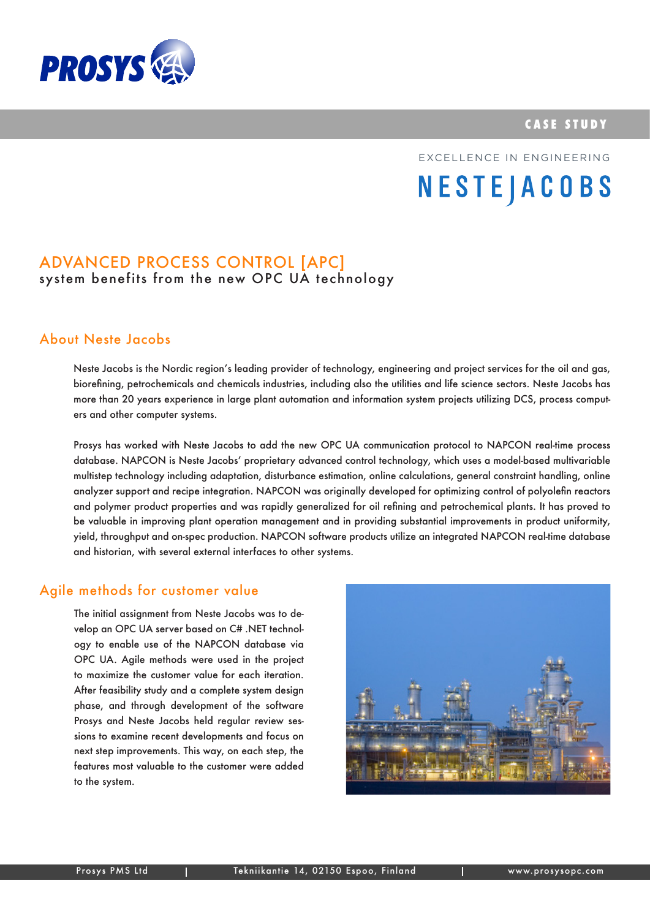



# EXCELLENCE IN ENGINEERING**NESTEJACOBS**

## Advanced Process Control [APC] system benefits from the new OPC UA technology

## About Neste Jacobs

Neste Jacobs is the Nordic region's leading provider of technology, engineering and project services for the oil and gas, biorefining, petrochemicals and chemicals industries, including also the utilities and life science sectors. Neste Jacobs has more than 20 years experience in large plant automation and information system projects utilizing DCS, process computers and other computer systems.

Prosys has worked with Neste Jacobs to add the new OPC UA communication protocol to NAPCON real-time process database. NAPCON is Neste Jacobs' proprietary advanced control technology, which uses a model-based multivariable multistep technology including adaptation, disturbance estimation, online calculations, general constraint handling, online analyzer support and recipe integration. NAPCON was originally developed for optimizing control of polyolefin reactors and polymer product properties and was rapidly generalized for oil refining and petrochemical plants. It has proved to be valuable in improving plant operation management and in providing substantial improvements in product uniformity, yield, throughput and on-spec production. NAPCON software products utilize an integrated NAPCON real-time database and historian, with several external interfaces to other systems.

#### Agile methods for customer value

The initial assignment from Neste Jacobs was to develop an OPC UA server based on C# .NET technology to enable use of the NAPCON database via OPC UA. Agile methods were used in the project to maximize the customer value for each iteration. After feasibility study and a complete system design phase, and through development of the software Prosys and Neste Jacobs held regular review sessions to examine recent developments and focus on next step improvements. This way, on each step, the features most valuable to the customer were added to the system.